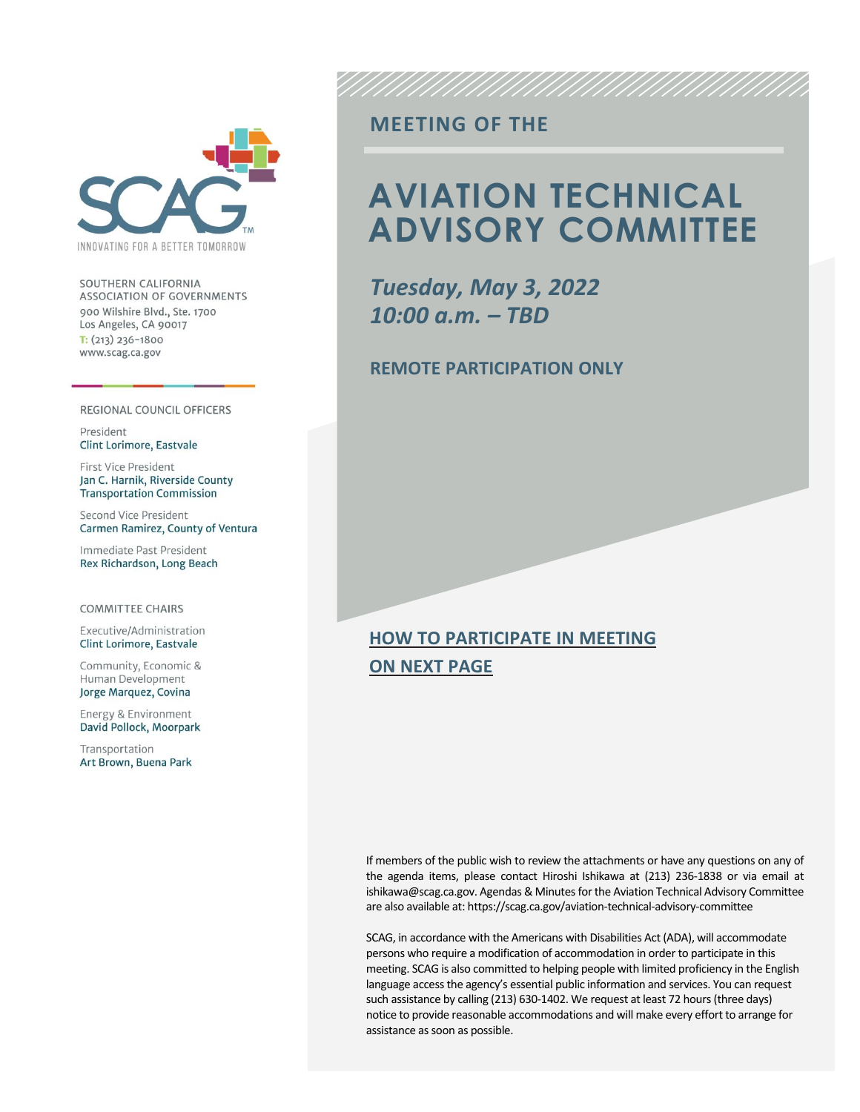

SOUTHERN CALIFORNIA ASSOCIATION OF GOVERNMENTS 900 Wilshire Blvd., Ste. 1700 Los Angeles, CA 90017  $T: (213)$  236-1800 www.scag.ca.gov

#### REGIONAL COUNCIL OFFICERS

President Clint Lorimore, Eastvale

First Vice President Jan C. Harnik, Riverside County **Transportation Commission** 

Second Vice President Carmen Ramirez, County of Ventura

Immediate Past President Rex Richardson, Long Beach

#### **COMMITTEE CHAIRS**

Executive/Administration Clint Lorimore, Eastvale

Community, Economic & Human Development Jorge Marquez, Covina

Energy & Environment David Pollock, Moorpark

Transportation Art Brown, Buena Park

#### **MEETING OF THE**

## **AVIATION TECHNICAL ADVISORY COMMITTEE**

*Tuesday, May 3, 2022 10:00 a.m. – TBD*

#### **REMOTE PARTICIPATION ONLY**

#### **HOW TO PARTICIPATE IN MEETING ON NEXT PAGE**

If members of the public wish to review the attachments or have any questions on any of the agenda items, please contact Hiroshi Ishikawa at (213) 236-1838 or via email at ishikawa@scag.ca.gov. Agendas & Minutes for the Aviation Technical Advisory Committee are also available at: https://scag.ca.gov/aviation-technical-advisory-committee

SCAG, in accordance with the Americans with Disabilities Act (ADA), will accommodate persons who require a modification of accommodation in order to participate in this meeting. SCAG is also committed to helping people with limited proficiency in the English language access the agency's essential public information and services. You can request such assistance by calling (213) 630-1402. We request at least 72 hours (three days) notice to provide reasonable accommodations and will make every effort to arrange for assistance as soon as possible.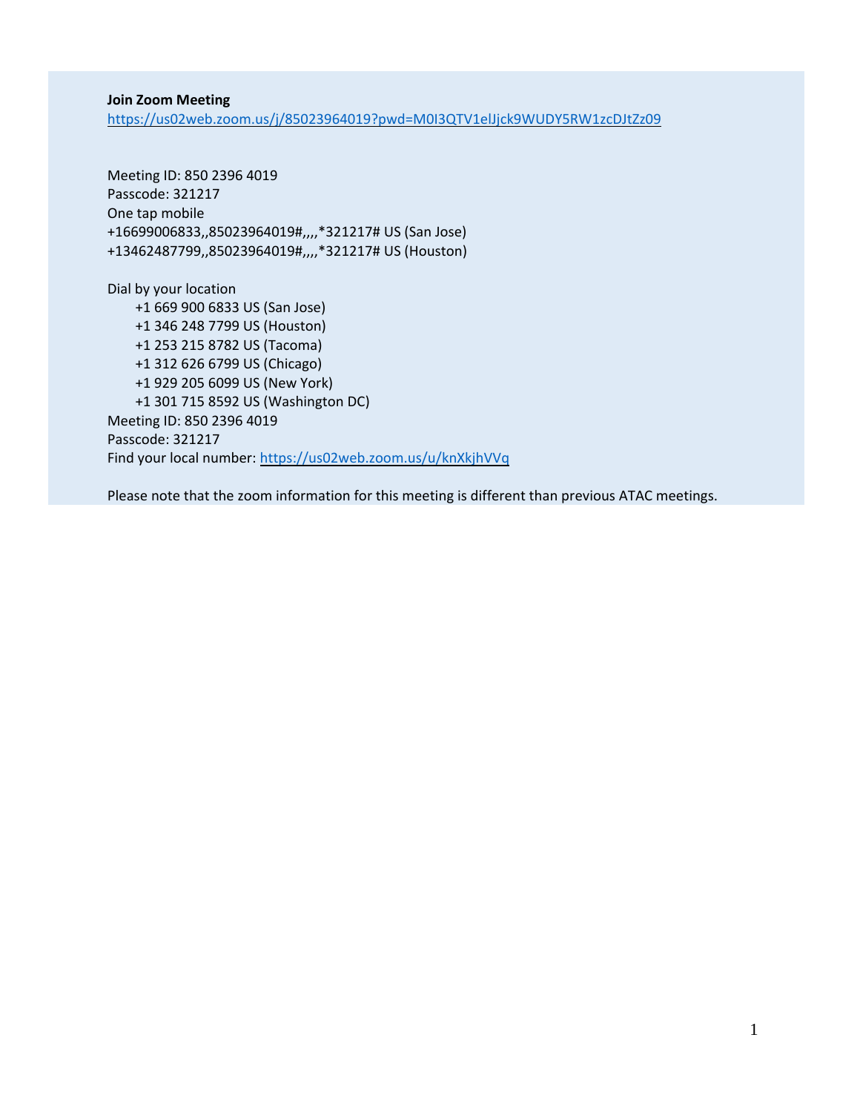**Join Zoom Meeting** <https://us02web.zoom.us/j/85023964019?pwd=M0I3QTV1elJjck9WUDY5RW1zcDJtZz09>

Meeting ID: 850 2396 4019 Passcode: 321217 One tap mobile +16699006833,,85023964019#,,,,\*321217# US (San Jose) +13462487799,,85023964019#,,,,\*321217# US (Houston)

Dial by your location +1 669 900 6833 US (San Jose) +1 346 248 7799 US (Houston) +1 253 215 8782 US (Tacoma) +1 312 626 6799 US (Chicago) +1 929 205 6099 US (New York) +1 301 715 8592 US (Washington DC) Meeting ID: 850 2396 4019 Passcode: 321217 Find your local number: <https://us02web.zoom.us/u/knXkjhVVq>

Please note that the zoom information for this meeting is different than previous ATAC meetings.